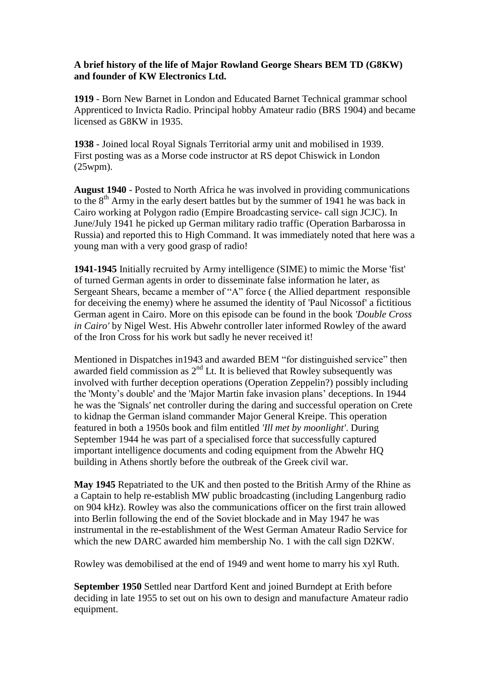## **A brief history of the life of Major Rowland George Shears BEM TD (G8KW) and founder of KW Electronics Ltd.**

**1919** - Born New Barnet in London and Educated Barnet Technical grammar school Apprenticed to Invicta Radio. Principal hobby Amateur radio (BRS 1904) and became licensed as G8KW in 1935.

**1938** - Joined local Royal Signals Territorial army unit and mobilised in 1939. First posting was as a Morse code instructor at RS depot Chiswick in London (25wpm).

**August 1940** - Posted to North Africa he was involved in providing communications to the 8<sup>th</sup> Army in the early desert battles but by the summer of 1941 he was back in Cairo working at Polygon radio (Empire Broadcasting service- call sign JCJC). In June/July 1941 he picked up German military radio traffic (Operation Barbarossa in Russia) and reported this to High Command. It was immediately noted that here was a young man with a very good grasp of radio!

**1941-1945** Initially recruited by Army intelligence (SIME) to mimic the Morse 'fist' of turned German agents in order to disseminate false information he later, as Sergeant Shears, became a member of "A" force ( the Allied department responsible for deceiving the enemy) where he assumed the identity of 'Paul Nicossof' a fictitious German agent in Cairo. More on this episode can be found in the book *'Double Cross in Cairo'* by Nigel West. His Abwehr controller later informed Rowley of the award of the Iron Cross for his work but sadly he never received it!

Mentioned in Dispatches in1943 and awarded BEM "for distinguished service" then awarded field commission as  $2<sup>nd</sup>$  Lt. It is believed that Rowley subsequently was involved with further deception operations (Operation Zeppelin?) possibly including the 'Monty's double' and the 'Major Martin fake invasion plans' deceptions. In 1944 he was the 'Signals' net controller during the daring and successful operation on Crete to kidnap the German island commander Major General Kreipe. This operation featured in both a 1950s book and film entitled *'Ill met by moonlight'*. During September 1944 he was part of a specialised force that successfully captured important intelligence documents and coding equipment from the Abwehr HQ building in Athens shortly before the outbreak of the Greek civil war.

**May 1945** Repatriated to the UK and then posted to the British Army of the Rhine as a Captain to help re-establish MW public broadcasting (including Langenburg radio on 904 kHz). Rowley was also the communications officer on the first train allowed into Berlin following the end of the Soviet blockade and in May 1947 he was instrumental in the re-establishment of the West German Amateur Radio Service for which the new DARC awarded him membership No. 1 with the call sign D2KW.

Rowley was demobilised at the end of 1949 and went home to marry his xyl Ruth.

**September 1950** Settled near Dartford Kent and joined Burndept at Erith before deciding in late 1955 to set out on his own to design and manufacture Amateur radio equipment.